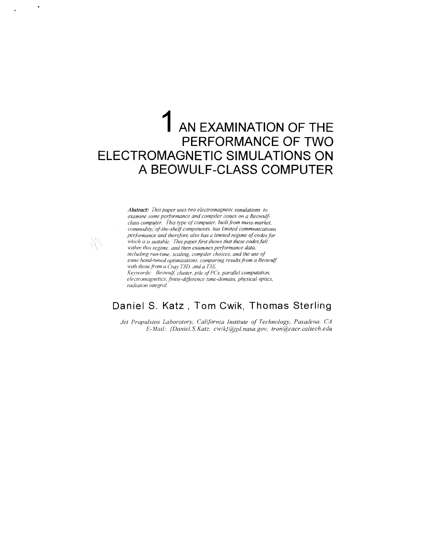# 1 AN EXAMINATION OF THE PERFORMANCE OF TWO ELECTROMAGNETIC SIMULATIONS ON A BEOWULF-CLASS COMPUTER

 $\cdot$ 

Abstract: This paper uses two electromagnetic simulations to examine some performance and compiler issues on a Beowulf*class computer. This type of computer, built from mass-market, commodity, of-the-shelf components, has limited communications* performance and therefore also has a limited regime of codes for which it is suitable. This paper first shows that these codes fall within this regime, and then examines performance data, including run-time, scaling, compiler choices, and the use of *some hand-tuned optrmlzatrons, comparrng resultsfrom a Beowulj*  with those from a Cray T3D, and a T3E. Keywords: Beowulf, cluster, pile of PCs, parallel computation,  $electromagnetics, finite-difference time-domain, physical optics,$  $radiation$  *integral.* 

# Daniel S. Katz, Tom Cwik, Thomas Sterling

*Jet Propulsion Luborntory, California Jnstitute of Technology, Pasadena, CA GMail: jDanie1.S. Katz, [cwik\)@pl.nasa.gov, tr](mailto:cwik)@pl.nasa.gov)[on@cacr.caltech.edu](mailto:tron@cacr.caltech.edu)*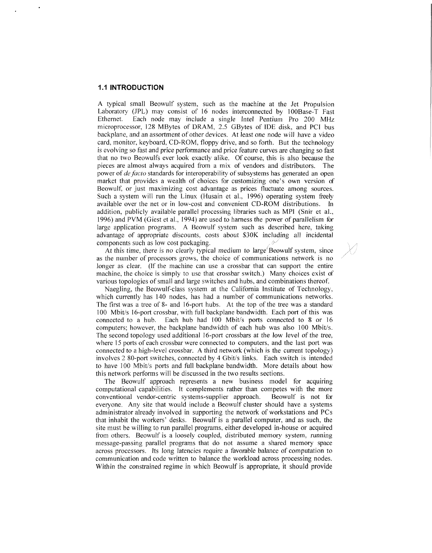#### **1 .I INTRODUCTION**

A typical small Beowulf system, such as the machine at the Jet Propulsion Laboratory (JPL) may consist of 16 nodes interconnected by 100Base-T Fast Ethernet. Each node may include a single Intel Pentium Pro 200 MHz microprocessor, 128 MBytes of DRAM, 2.5 GBytes of IDE disk, and PC1 bus backplane, and an assortment of other devices. At least one node will have a video card, monitor, keyboard, CD-ROM, floppy drive, and so forth. But the technology is evolving so fast and price performance and price feature curves are changing so fast that no two Beowulfs ever look exactly alike. Of course, this is also because the pieces are almost always acquired from a mix of vendors and distributors. The power of *de facto* standards for interoperability of subsystems has generated an open market that provides a wealth of choices for customizing one's own version *of*  Beowulf, or just maximizing cost advantage as prices fluctuate among sources. Such a system will run the Linux (Husain et al., 1996) operating system freely available over the net or in low-cost and convenient CD-ROM distributions. In addition, publicly available parallel processing libraries such as MPI (Snir et al., 1996) and PVM (Giest et al., 1994) are used to harness the power of parallelism for large application programs. **A** Beowulf system such as described here, taking advantage of appropriate discounts, costs about \$30K including all incidental components such as low cost packaging.  $\sim$ /

as the number of processors grows, the choice of communications network is no longer as clear. (If the machine can use a crossbar that can support the entire machine, the choice is simply to use that crossbar switch.) Many choices exist *of*  various topologies of small and large switches and hubs, and combinations thereof. At this time, there is no clearly typical medium to large Beowulf system, since

Naegling, the Beowulf-class system at the California Institute of Technology, which currently has 140 nodes, has had a number of communications networks. The first was a tree of 8- and 16-port hubs. At the top of the tree was a standard 100 Mbit/s 16-port crossbar, with full backplane bandwidth. Each port of this was connected to a hub. Each hub had 100 Mbit/s ports connected to 8 or 16 computers; however, the backplane bandwidth of each hub was also 100 Mbit/s. The second topology used additional 16-port crossbars at the low level of the tree, where 15 ports of each crossbar were connected to computers, and the last port was connected to a high-level crossbar. A third network (which is the current topology) involves 2 80-port switches, connected by 4 Gbit/s links. Each switch is intended to have 100 Mbit/s ports and full backplane bandwidth. More details about how this network performs will be discussed in the two results sections.

The Beowulf approach represents a new business model for acquiring computational capabilities. It complements rather than competes with the more conventional vendor-centric systems-supplier approach. Beowulf is not for everyone. Any site that would include a Beowulf cluster should have a systems administrator already involved in supporting the network of workstations and PCs that inhabit the workers' desks. Beowulf is a parallel computer, and as such, the site must be willing to run parallel programs, either developed in-house or acquired fiom others. Beowulf is a loosely coupled, distributed memory system, running message-passing parallel programs that do not assume a shared memory space across processors. Its long latencies require a favorable balance of computation to communication and code written to balance the workload across processing nodes. Within the constrained regime in which Beowulf is appropriate, it should provide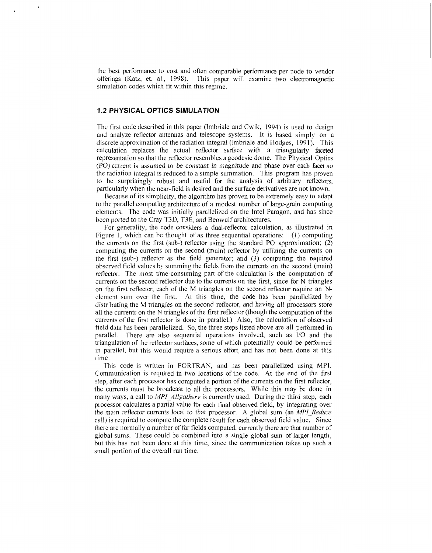the best performance to cost and often comparable perfonnance per node to vendor offerings (Katz, et. al., 1998). This paper will examine two electromagnetic simulation codes which fit within this regime.

#### **1.2 PHYSICAL OPTICS SIMULATION**

The first code described in this paper (Imbriale and Cwik, 1994) is used to design and analyze reflector antennas and telescope systems. It is based simply on a discrete approximation of the radiation integral (Imbriale and Hodges, 1991). This calculation replaces the actual reflector surface with a triangularly faceted representation so that the reflector resembles a geodesic dome. The Physical Optics (PO) current is assumed to be constant in magnitude and phase over each facet so the radiation integral is reduced to a simple summation. This program has proven to be surprisingly robust and useful for the analysis of arbitrary reflectors, particularly when the near-field is desired and the surface derivatives are not known.

Because of its simplicity, the algorithm has proven to be extremely easy to adapt to the parallel computing architecture of a modest number of large-grain computing elements. The code was initially parallelized on the Intel Paragon, and has since been ported to the Cray T3D, T3E, and Beowulf architectures.

For generality, the code considers a dual-reflector calculation, as illustrated in Figure 1, which can be thought of as three sequential operations: (1) computing the currents on the first (sub-) reflector using the standard PO approximation: (2) computing the currents on the second (main) reflector by utilizing the currents on the first (sub-) reflector as the field generator; and (3) computing the required observed field values by summing the fields from the currents on the second (main) reflector. The most time-consuming part of the calculation is the computation of currents on the second reflector due to the currents on the first, since for N triangles on the first reflector. each of the M triangles on the second reflector require an Nelement sum over the first. At this time, the code has been parallelized by distributing the M triangles on the second reflector, and having all processors store all the currents on the N triangles of the first reflector (though the computation of the currents of the first reflector is done in parallel.) Also, the calculation of observed field data has been parallelized. So, the three steps listed above are all performed in parallel. There are also sequential operations involved, such as 1/0 and the triangulation of the reflector surfaces, some of which potentially could be performed in parallel, but this would require a serious effort, and has not been done at this time.

This code is written in FORTRAN, and has been parallelized using MPI. Communication is required in two locations of the code. At the end of the first step, after each processor has computed a portion of the currents on the first reflector, the currents must be broadcast to all the processors. While this may be done in many ways, a call to *MPl-Allgathew* is currently used. During the third step, each processor calculates a partial value for each final observed field, by integrating over the main reflector currents local to that processor. **A** global sum (an *MPI-Reduce*  call) is required to compute the complete result for each observed field value. Since there are normally a number of far fields computed, currently there are that number of global sums. These could be combined into a single global sum of larger length, but this has not been done at this time, since the communication takes up such a small portion of the overall run time.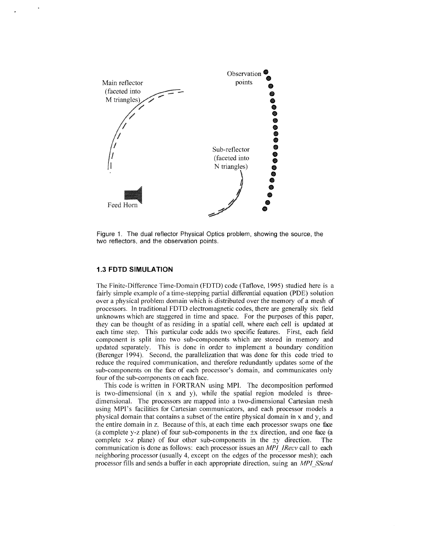

Figure 1. The dual reflector Physical Optics problem, showing the source, the two reflectors, and the observation points.

### **1.3 FDTD SIMULATION**

The Finite-Difference Time-Domain (FDTD) code (Taflove, 1995) studied here is a fairly simple example of a time-stepping partial differential equation (PDE) solution over a physical problem domain which is distributed over the memory of a mesh *of*  processors. In traditional FDTD electromagnetic codes, there are generally six field unknowns which are staggered in time and space. For the purposes of this paper, they can be thought of as residing in a spatial cell, where each cell is updated at each time step. This particular code adds two specific features. First, each field component is split into two sub-components which are stored in memory and updated separately. This is done in order to implement a boundary condition (Berenger 1994). Second, the parallelization that was done for this code tried to reduce the required communication, and therefore redundantly updates some of the sub-components on the face of each processor's domain, and communicates only four of the sub-components on each face.

This code is written in FORTRAN using MPI. The decomposition performed is two-dimensional (in x and y), whiie the spatial region modeled is threedimensional. The processors are mapped into a two-dimensional Cartesian mesh using MPI's facilities for Cartesian communicators, and each processor models a physical domain that contains a subset of the entire physical domain in x and y, and the entire domain in z. Because of this, at each time each processor swaps one face (a complete y-z plane) of four sub-components in the  $\pm x$  direction, and one face (a complete x-z plane) of four other sub-components in the  $\pm$ y direction. The communication is done as follows: each processor issues an *MPI-IRecv* call to each neighboring processor (usually 4, except on the edges of the processor mesh); each processor fills and sends a buffer in each appropriate direction, suing an *MPI-SSend*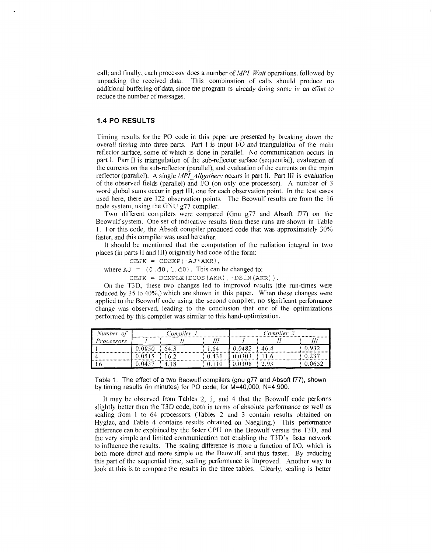call; and finally, each processor does a number of *MPl-Wait* operations, followed by unpacking the received data. This combination of calls should produce no additional buffering of data, since the program is already doing some in an effort to reduce the number of messages.

# **1.4** PO **RESULTS**

Timing results for the PO code in this paper are presented by breaking down the overall timing into three parts. Part I is input I/O and triangulation of the main reflector surface, some of which is done in parallel. No communication occurs in part 1. Part I1 is triangulation of the sub-reflector surface (sequential), evaluation *of*  the currents on the sub-reflector (parallel), and evaluation of the currents on the main reflector (parallel). A single *MPI Allgatherv* occurs in part II. Part III is evaluation of the observed fields (parallel) and I/O (on only one processor). **A** number of 3 word global sums occur in part **111,** one for each observation point. In the test cases used here, there are 122 observation points. The Beowulf results are from the 16 node system, using the GNU g77 compiler.

Two different compilers were compared (Gnu g77 and Absoft f77) on the Beowulf system. One set of indicative results from these runs are shown in Table 1. For this code, the Absoft compiler produced code that was approximately 30% faster, and this compiler was used hereafter.

It should be mentioned that the computation of the radiation integral in two places (in parts **I1** and **111)** originally had code of the form:

CEJK =  $CDEXP$  ( - AJ \* AKR),

where  $AJ = (0. d0, 1. d0)$ . This can be changed to:

CEJK =  $DCMPLX (DCOS (AKR)$ , - $DSIN (AKR)$ ).

On the T3D. these two changes led to improved results (the run-times were reduced by 35 to 40%,) which are shown in this paper. When these changes were applied to the Beowulf code using the second compiler, no significant performance change was observed, leading to the conclusion that one of the optimizations performed by this compiler was similar to this hand-optimization.

| Number of  | Compiler |      |       | Compiler $\angle$ |      |       |
|------------|----------|------|-------|-------------------|------|-------|
| Processors |          |      |       |                   |      |       |
|            | 0.0850   | 64 i | .64   | 0.0482            | 46.4 | 0.937 |
|            | 0.0515   |      | 0.431 | 0.0303            |      |       |
|            | 0.0437   |      |       | 0.0308            |      |       |

Table 1. The effect of a two Beowulf compilers (gnu g77 and Absoff f77), shown by timing results (in minutes) for PO code, for M=40,000, N=4,900.

It may be observed from Tables *2,* 3, and 4 that the Beowulf code performs slightly better than the T3D code, both in terms of absolute performance as well as scaling from 1 to 64 processors. ([Tables](#page-5-0) *2* and 3 contain results obtained on Hyglac, and Table 4 contains results obtained on Naegling.) This performance difference can be explained by the faster CPU on the Beowulf versus the T3D, and the very simple and limited communication not enabling the T3D's faster network to influence the results. The scaling difference is more a function of 1/0, which is both more direct and more simple on the Beowulf, and thus faster. By reducing this part of the sequential time, scaling performance is improved. Another way to look at this is to compare the results in the three tables. Clearly, scaling is better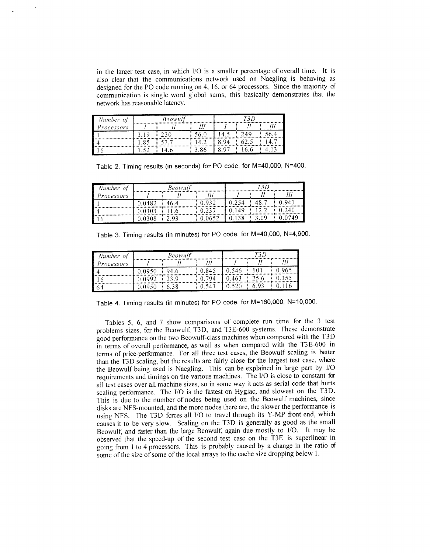<span id="page-5-0"></span>in the larger test case, in which I/O is a smaller percentage of overall time. It is also clear that the communications network used on Naegling is behaving as designed for the PO code running on 4. 16, or 64 processors. Since the majority *of*  communication is single word global sums, this basically demonstrates that the network has reasonable latency.

| Number of  | <i>Beowult</i> |  |      |                                      |     |  |
|------------|----------------|--|------|--------------------------------------|-----|--|
| Processors |                |  |      |                                      |     |  |
|            |                |  | 56.0 |                                      | 249 |  |
|            | .85            |  | 14.2 | 8.94                                 |     |  |
|            |                |  | . 86 | $\times$ Q <sup><math>-</math></sup> |     |  |

Table 2. Timing results (in seconds) for PO code, for M=40,000, N=400.

| Number of  | Beowulf |            |       |       |            |             |
|------------|---------|------------|-------|-------|------------|-------------|
| Processors |         |            |       |       |            |             |
|            | 0.0482  | $-1464$    | 0.932 | 0.254 | : 48.7     | 0.941       |
|            | 0.0303  | $\pm$ 11.6 | 0.237 | 0.149 | $\pm 12.2$ | $\pm 0.240$ |
|            |         | 2.93       |       |       | : 3.09     | 0.074c      |

Table **3.** Timing results (in minutes) for PO code, for M=40,000, N=4,900.

| Number of  | Beowulf |                    |       |       |      |                   |
|------------|---------|--------------------|-------|-------|------|-------------------|
| Processors |         |                    |       |       |      |                   |
|            | 0.0950  | $\frac{1}{2}$ 94.6 | 0.845 | 0.546 |      | 0.965             |
|            | 0.0992  | : 239              | 0.794 | 0.463 | 25.6 | 0.35 <sup>5</sup> |
|            |         |                    | 0.54  |       | 693  |                   |

Table 4. Timing results (in minutes) for PO code, for M=160,000, N=10,000.

Tables *5,* 6. and *7* show comparisons of complete run time for the 3 test problems sizes, for the Beowulf, T3D. and T3E-600 systems. These demonstrate good performance on the two Beowulf-class machines when compared with the T3D in terms of overall performance, as well as when compared with the T3E-600 in terms of price-performance. For all three test cases, the Beowulf scaling is better than the T3D scaling, but the results are fairly close for the largest test case, where the Beowulf being used is Naegling. This can be explained in large part by I/O requirements and timings on the various machines. The I/O is close to constant for all test cases over all machine sizes, so in some way it acts as serial code that hurts scaling performance. The *IiO* is the fastest on Hyglac, and slowest on the T3D. This is due to the number of nodes being used on the Beowulf machines, since disks are NFS-mounted, and the more nodes there are, the slower the performance is using NFS. The T3D forces all I/O to travel through its Y-MP front end, which causes it to be very slow. Scaling on the T3D is generally as good as the small Beowulf, and faster than the large Beowulf, again due mostly to I/O. It may be observed that the speed-up of the second test case on the T3E is superlinear in going from **1** to 4 processors. This is probably caused by a change in the ratio of some of the size of some of the local arrays to the cache size dropping below 1.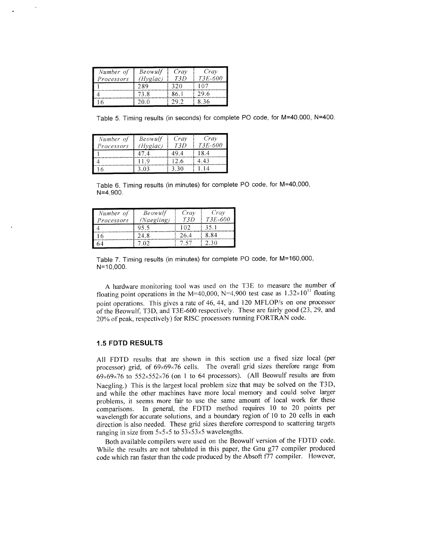| Number of<br>Processors | Beowulf<br>(Hvglac) | Cray<br>13D | Crav<br>$T3E - 600$ |
|-------------------------|---------------------|-------------|---------------------|
|                         | 289                 | 320         | 107                 |
|                         | 73.8                | 86.1        | 29.6                |
|                         | 20 O                |             | 836                 |

Table 5. Timing results (in seconds) for complete PO code, for M=40,000, N=400.

| Number of<br>Processors | Beowulf<br>(Hyglac) | Crav<br>T3D | Cray<br><i>T3E-600</i> |
|-------------------------|---------------------|-------------|------------------------|
|                         | 47.4                | 49.4        | 18.4                   |
|                         |                     | 126         | 443                    |
|                         | 3.03                | 3.30        | 1 14                   |

Table 6. Timing results (in minutes) for complete PO code, for M=40,000,  $N = 4.900$ .

| Number of<br>Processors | Beowulf<br>(Naegling) | Cray<br>T3 D | Cray<br>$T3E-600$ |
|-------------------------|-----------------------|--------------|-------------------|
|                         | 95.5                  |              | -35.1             |
|                         | 24.8                  | 26.4         | 3.84              |
|                         |                       |              | 2.30              |

Table *7.* Timing results (in minutes) for complete PO code, for M=160,000, N=10.000.

**A** hardware monitoring tool was used on the T3E to measure the number of floating point operations in the M=40,000, N=4,900 test case as  $1.32 \times 10^{11}$  floating point operations. This gives a rate of 46, 44, and 120 MFLOP/s on one processor of the Beowulf, T3D, and T3E-600 respectively. These are fairly good (23,29, and 20% of peak, respectively) for RISC processors running FORTRAN code.

## **1.5 FDTD RESULTS**

**All** FDTD results that are shown in this section use a fixed size local (per processor) grid, of  $69\times69\times76$  cells. The overall grid sizes therefore range from  $69 \times 69 \times 76$  to  $552 \times 552 \times 76$  (on 1 to 64 processors). (All Beowulf results are from Naegling.) This is the largest local problem size that may be solved on the T3D, and while the other machines have more local memory and could solve larger problems, it seems more fair to use the same amount of local work for these comparisons. In general, the FDTD method requires 10 to 20 points per wavelength for accurate solutions, and a boundary region of 10 to 20 cells in each direction is also needed. These grid sizes therefore correspond to scattering targets ranging in size from  $5 \times 5 \times 5$  to  $53 \times 53 \times 5$  wavelengths.

Both available compilers were used on the Beowulf version of the FDTD code. While the results are not tabulated in this paper, the Gnu g77 compiler produced code which ran faster than the code produced by the Absoft f77 compiler. However,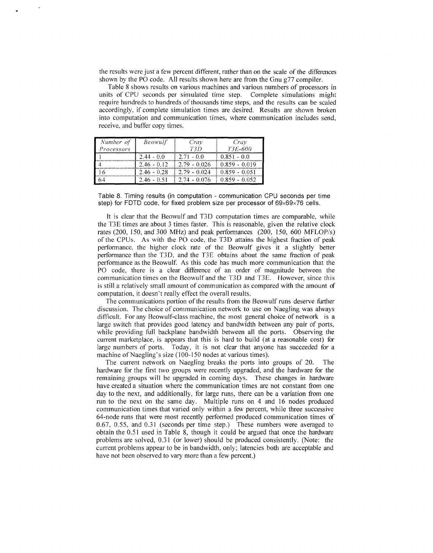the results were just a few percent different, rather than on the scale of the differences shown by the PO code. **All** results shown here are from the Gnu g77 compiler.

Table 8 shows results on various machines and various numbers of processors in units of CPU seconds per simulated time step. Complete simulations might require hundreds to hundreds of thousands time steps, and the results can be scaled accordingly, if complete simulation times are desired. Results are shown broken into computation and communication times, where communication includes send, receive, and buffer copy times.

| Number of  | Beowulf       | Crav                                                   | Cray          |
|------------|---------------|--------------------------------------------------------|---------------|
| Processors |               | T3D                                                    | T3E-600       |
|            | $2.44 - 0.0$  | $\frac{1}{2}$ 2.71 - 0.0                               | $0.851 - 0.0$ |
|            | $2.46 - 0.12$ | $\frac{1}{2}$ 2.79 - 0.026 $\frac{1}{2}$ 0.859 - 0.019 |               |
|            | $2.46 - 0.28$ | $\frac{1}{2}$ 2.79 - 0.024 $\frac{1}{2}$ 0.859 - 0.051 |               |
|            | 2.46 - 0.51   | $\frac{1}{2}$ 2.74 - 0.076 $\frac{1}{2}$ 0.859 - 0.052 |               |

Table 8. Timing results (in computation - communication CPU seconds per time step) for FDTD code, for fixed problem size per processor of  $69\times69\times76$  cells.

It is clear that the Beowulf and T3D computation times are comparable, while the T3E times are about 3 times faster. This is reasonable, given the relative clock rates (200, 150, and 300 MHz) and peak performances (200, 150, 600 MFLOP/s) of the CPUs. **As** with the PO code, the T3D attains the highest fraction of peak performance, the higher clock rate of the Beowulf gives it a slightly better performance than the T3D, and the T3E obtains about the same fraction of peak performance as the Beowulf. As this code has much more communication that the PO code, there is a clear difference of an order of magnitude between the communication times on the Beowulf and the T3D and T3E. However, since this is still a relatively small amount of communication as compared with the amount of computation, it doesn't really effect the overall results.

The communications portion of the results from the Beowulf runs deserve firther discussion. The choice of communication network to use on Naegling was always difficult. For any Beowulf-class machine, the most general choice of network is a large switch that provides good latency and bandwidth between any pair of ports, while providing full backplane bandwidth between all the ports. Observing the current marketplace, is appears that this is hard to build (at a reasonable cost) for large numbers of ports. Today, it is not clear that anyone has succeeded for a machine of Naegling's size (100-150 nodes at various times).

The current network on Naegling breaks the ports into groups of 20. The hardware for the first two groups were recently upgraded, and the hardware for the remaining groups will be upgraded in coming days. These changes in hardware have created a situation where the communication times are not constant fiom one day to the next, and additionally, for large runs, there can be a variation from one run to the next on the same day. Multiple runs on 4 and 16 nodes produced communication times that varied only within a few percent, while three successive 64-node runs that were most recently performed produced communication times *of*  0.67, 0.55, and 0.31 (seconds per time step.) These numbers were averaged to obtain the 0.51 used in Table **8,** though it could be argued that once the hardware problems are solved, 0.3 1 (or lower) should be produced consistently. (Note: the current problems appear to be in bandwidth, only; latencies both are acceptable and have not been observed to vary more than a few percent.)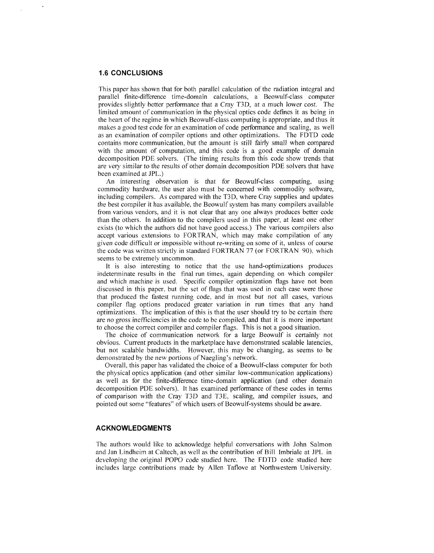## **1.6 CONCLUSIONS**

This paper has shown that for both parallel calculation of the radiation integral and parallel finite-difference time-domain calculations, a Beowulf-class computer provides slightly better perfonnance that a Cray T3D, at a much lower cost. The limited amount of communication in the physical optics code defines it as being in the heart of the regime in which Beowulf-class computing is appropriate, and thus it makes a good test code for an examination of code performance and scaling, as well as an examination of compiler options and other optimizations. The FDTD code contains more communication, but the amount is still fairly small when compared with the amount of computation, and this code is a good example of domain decomposition PDE solvers. (The timing results from this code show trends that are very similar to the results of other domain decomposition PDE solvers that have been examined at JPL.)

An interesting observation is that for Beowulf-class computing, using commodity hardware, the user also must be concerned with commodity software, including compilers. As compared with the T3D, where Cray supplies and updates the best compiler it has available, the Beowulf system has many compilers available from various vendors, and it is not clear that any one always produces better code than the others. In addition to the compilers used in this paper, at least one other exists (to which the authors did not have good access.) The various compilers also accept various extensions to FORTRAN, which may make compilation of any given code difficult or impossible without re-writing on some of it, unless of course the code was written strictly in standard FORTRAN 77 (or FORTRAN 90), which seems to be extremely uncommon.

It is also interesting to notice that the use hand-optimizations produces indeterminate results in the final run times, again depending on which compiler and which machine is used. Specific compiler optimization flags have not been discussed in this paper. but the set of flags that was used in each case were those that produced the fastest running code, and in most but not all cases, various compiler flag options produced greater variation in run times that any hand optimizations. The implication of this is that the user should try to be certain there are no gross inefficiencies in the code to be compiled, and that it is more important to choose the correct compiler and compiler flags. This is not a good situation.

The choice of communication network for a large Beowulf is certainly not obvious. Current products in the marketplace have demonstrated scalable latencies, but not scalable bandwidths. However, this may be changing, as seems to be demonstrated by the new portions of Naegling's network.

Overall, this paper has validated the choice of a Beowulf-class computer for both the physical optics application (and other similar low-communication applications) as well as for the finite-difference time-domain application (and other domain decomposition PDE solvers). It has examined performance of these codes in terms of comparison with the Cray T3D and T3E, scaling, and compiler issues, and pointed out some "features" of which users of Beowulf-systems should be aware.

#### **ACKNOWLEDGMENTS**

The authors would like to acknowledge helpful conversations with John Salmon and Jan Lindheim at Caltech, as well as the contribution of Bill Imbriale at JPL in developing the original POP0 code studied here. The FDTD code studied here includes large contributions made by Allen Taflove at Northwestern University.